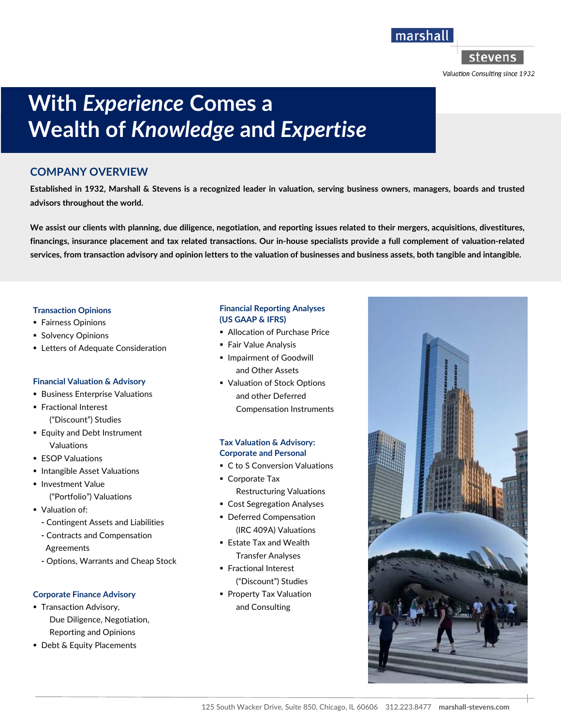marshall

stevens

Valuation Consulting since 1932

# **With** *Experience* **Comes a Wealth of** *Knowledge* **and** *Expertise*

### **COMPANY OVERVIEW**

**Established in 1932, Marshall & Stevens is a recognized leader in valuation, serving business owners, managers, boards and trusted advisors throughout the world.** 

**We assist our clients with planning, due diligence, negotiation, and reporting issues related to their mergers, acquisitions, divestitures, financings, insurance placement and tax related transactions. Our in-house specialists provide a full complement of valuation-related services, from transaction advisory and opinion letters to the valuation of businesses and business assets, both tangible and intangible.** 

#### **Transaction Opinions**

- **Fairness Opinions**
- **Solvency Opinions**
- **EXEC** Letters of Adequate Consideration

#### **Financial Valuation & Advisory**

- **Business Enterprise Valuations**
- **Fractional Interest** ("Discount") Studies
- **Equity and Debt Instrument** Valuations
- **ESOP Valuations**
- **Intangible Asset Valuations**
- **Investment Value** 
	- ("Portfolio") Valuations
- Valuation of:
	- **-** Contingent Assets and Liabilities
	- **-** Contracts and Compensation Agreements
	- **-** Options, Warrants and Cheap Stock

#### **Corporate Finance Advisory**

- **Transaction Advisory,** Due Diligence, Negotiation, Reporting and Opinions
- **Debt & Equity Placements**

#### **Financial Reporting Analyses (US GAAP & IFRS)**

- **Allocation of Purchase Price**
- **Fair Value Analysis**
- **Impairment of Goodwill** and Other Assets
- Valuation of Stock Options and other Deferred Compensation Instruments

#### **Tax Valuation & Advisory: Corporate and Personal**

- C to S Conversion Valuations
- Corporate Tax Restructuring Valuations
- Cost Segregation Analyses
- **Deferred Compensation** (IRC 409A) Valuations
- Estate Tax and Wealth Transfer Analyses
- **Fractional Interest** ("Discount") Studies
- **Property Tax Valuation** and Consulting